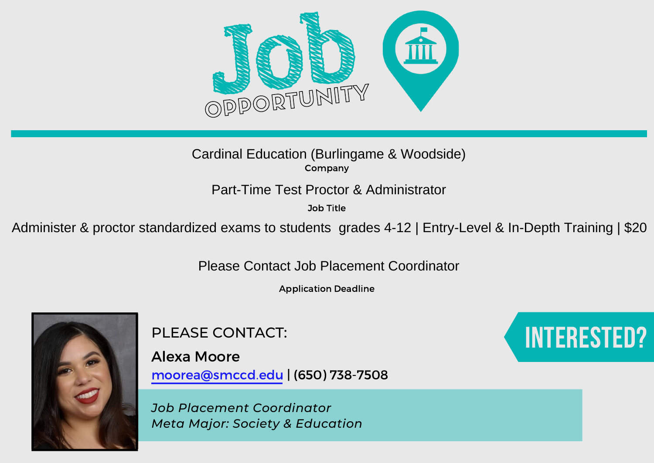

Company Cardinal Education (Burlingame & Woodside)

Job Title

Part-Time Test Proctor & Administrator<br>
<sup>30b Title</sup><br>
Administer & proctor standardized exams to students grades 4-12 | Entry-Level & In-Depth Training | \$20<br>
Please Contact Job Placement Coordinator

Application Deadline



PLEASE CONTACT:

Alexa Moore moorea@smccd.edu | (650) 738-7508

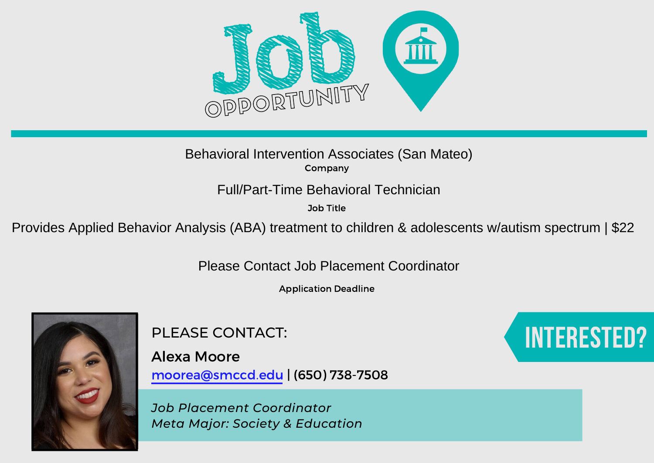

Company Behavioral Intervention Associates (San Mateo)

Job Title

Full/Part-Time Behavioral Technician<br>
<sup>30b Title</sup><br>
Provides Applied Behavior Analysis (ABA) treatment to children & adolescents w/autism spectrum | \$22<br>
Please Contact Job Placement Coordinator

Application Deadline



PLEASE CONTACT:

Alexa Moore moorea@smccd.edu | (650) 738-7508

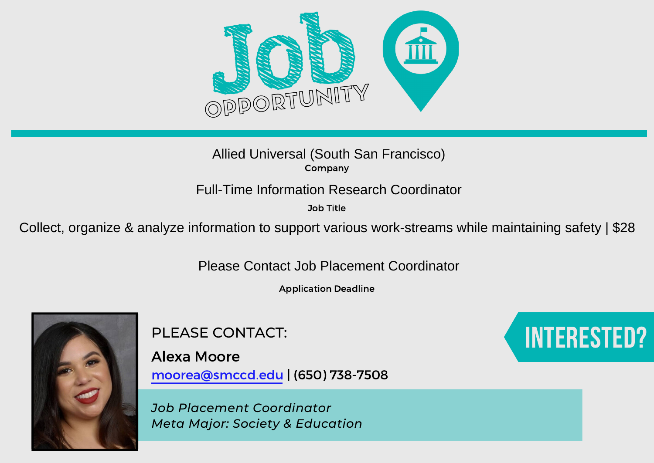

## Company

Job Title

Allied Universal (South San Francisco)<br>
Company<br>
Full-Time Information Research Coordinator<br>
<sup>30b Title</sup><br>
<sup>30b Title</sup><br>
Please Contact Job Placement Coordinator<br>
Please Contact Job Placement Coordinator

Application Deadline



PLEASE CONTACT:

Alexa Moore moorea@smccd.edu | (650) 738-7508

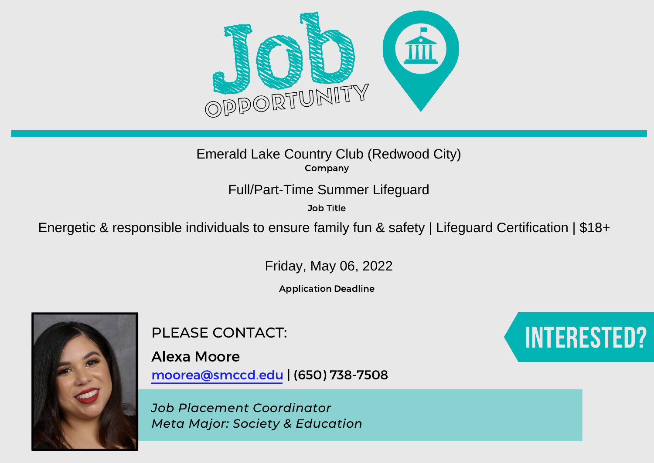

Company

Job Title

Emerald Lake Country Club (Redwood City)<br>
Energetic & responsible individuals to ensure family fun & safety | Lifeguard Certification | \$18+<br>
Full/Part-Time Summer Lifeguard Letter (Energetic & responsible individuals to e

Friday, May 06, 2022

Application Deadline



PLEASE CONTACT:

Alexa Moore moorea@smccd.edu | (650) 738-7508